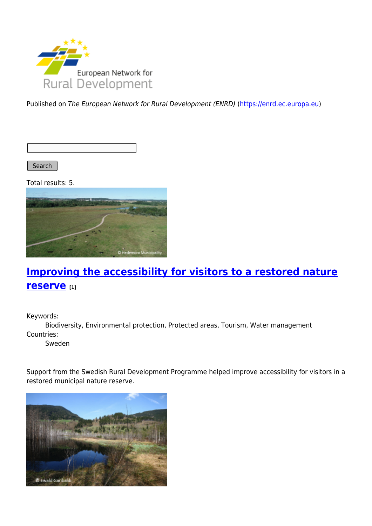

Published on The European Network for Rural Development (ENRD) [\(https://enrd.ec.europa.eu](https://enrd.ec.europa.eu))

Search |

Total results: 5.



# **[Improving the accessibility for visitors to a restored nature](https://enrd.ec.europa.eu/projects-practice/improving-accessibility-visitors-restored-nature-reserve_en) [reserve](https://enrd.ec.europa.eu/projects-practice/improving-accessibility-visitors-restored-nature-reserve_en) [1]**

Keywords:

Biodiversity, Environmental protection, Protected areas, Tourism, Water management Countries:

Sweden

Support from the Swedish Rural Development Programme helped improve accessibility for visitors in a restored municipal nature reserve.

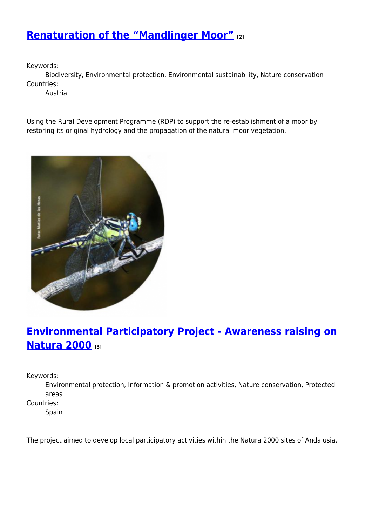### **[Renaturation of the "Mandlinger Moor"](https://enrd.ec.europa.eu/projects-practice/renaturation-mandlinger-moor_en) [2]**

Keywords:

Biodiversity, Environmental protection, Environmental sustainability, Nature conservation Countries:

Austria

Using the Rural Development Programme (RDP) to support the re-establishment of a moor by restoring its original hydrology and the propagation of the natural moor vegetation.



# **[Environmental Participatory Project - Awareness raising on](https://enrd.ec.europa.eu/projects-practice/environmental-participatory-project-awareness-raising-natura-2000_en) [Natura 2000](https://enrd.ec.europa.eu/projects-practice/environmental-participatory-project-awareness-raising-natura-2000_en) [3]**

Keywords:

Environmental protection, Information & promotion activities, Nature conservation, Protected areas

Countries:

Spain

The project aimed to develop local participatory activities within the Natura 2000 sites of Andalusia.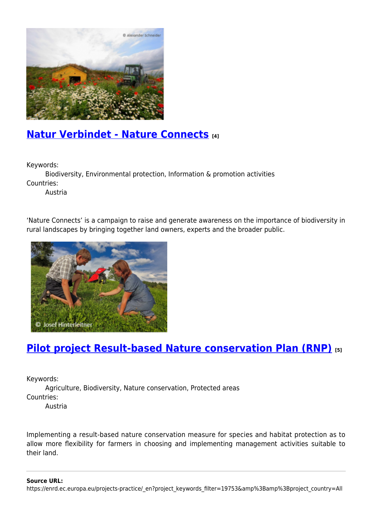

### **[Natur Verbindet - Nature Connects](https://enrd.ec.europa.eu/projects-practice/natur-verbindet-nature-connects_en) [4]**

Keywords:

Biodiversity, Environmental protection, Information & promotion activities Countries:

Austria

'Nature Connects' is a campaign to raise and generate awareness on the importance of biodiversity in rural landscapes by bringing together land owners, experts and the broader public.



# **[Pilot project Result-based Nature conservation Plan \(RNP\)](https://enrd.ec.europa.eu/projects-practice/pilot-project-result-based-nature-conservation-plan-rnp_en) [5]**

Keywords:

Agriculture, Biodiversity, Nature conservation, Protected areas Countries:

Austria

Implementing a result-based nature conservation measure for species and habitat protection as to allow more flexibility for farmers in choosing and implementing management activities suitable to their land.

**Source URL:**

https://enrd.ec.europa.eu/projects-practice/\_en?project\_keywords\_filter=19753&amp%3Bamp%3Bproject\_country=All